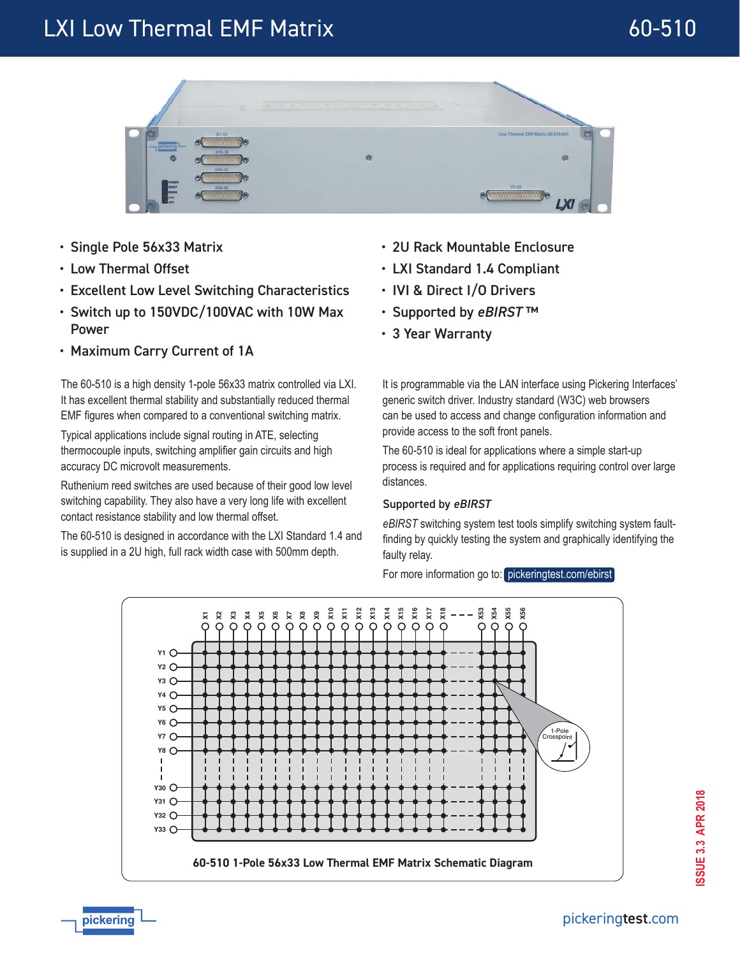# LXI Low Thermal EMF Matrix and the control of the 60-510



- Single Pole 56x33 Matrix
- Low Thermal Offset

pickering

- Excellent Low Level Switching Characteristics
- Switch up to 150VDC/100VAC with 10W Max Power
- Maximum Carry Current of 1A

The 60-510 is a high density 1-pole 56x33 matrix controlled via LXI. It has excellent thermal stability and substantially reduced thermal EMF figures when compared to a conventional switching matrix.

Typical applications include signal routing in ATE, selecting thermocouple inputs, switching amplifier gain circuits and high accuracy DC microvolt measurements.

Ruthenium reed switches are used because of their good low level switching capability. They also have a very long life with excellent contact resistance stability and low thermal offset.

The 60-510 is designed in accordance with the LXI Standard 1.4 and is supplied in a 2U high, full rack width case with 500mm depth.

- 2U Rack Mountable Enclosure
- LXI Standard 1.4 Compliant
- IVI & Direct I/O Drivers
- Supported by *eBIRST* ™
- 3 Year Warranty

It is programmable via the LAN interface using Pickering Interfaces' generic switch driver. Industry standard (W3C) web browsers can be used to access and change configuration information and provide access to the soft front panels.

The 60-510 is ideal for applications where a simple start-up process is required and for applications requiring control over large distances.

### Supported by eBIRST

*eBIRST* switching system test tools simplify switching system faultfinding by quickly testing the system and graphically identifying the faulty relay.

For more information go to: [pickeringtest.com/ebirst](http://www.pickeringtest.com/ebirst)



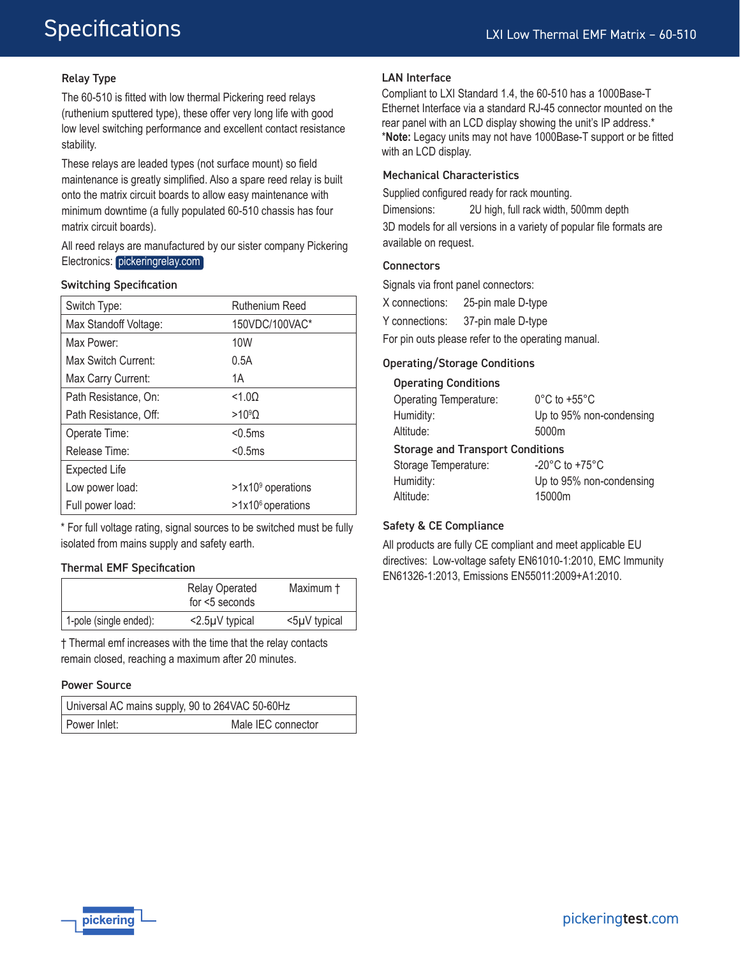# **Specifications**

### Relay Type

The 60-510 is fitted with low thermal Pickering reed relays (ruthenium sputtered type), these offer very long life with good low level switching performance and excellent contact resistance stability.

These relays are leaded types (not surface mount) so field maintenance is greatly simplified. Also a spare reed relay is built onto the matrix circuit boards to allow easy maintenance with minimum downtime (a fully populated 60-510 chassis has four matrix circuit boards).

All reed relays are manufactured by our sister company Pickering Electronics: [pickeringrelay.com](http://www.pickeringrelay.com)

#### Switching Specification

| Switch Type:          | Ruthenium Reed                |
|-----------------------|-------------------------------|
| Max Standoff Voltage: | 150VDC/100VAC*                |
| Max Power:            | 10W                           |
| Max Switch Current:   | 0.5A                          |
| Max Carry Current:    | 1A                            |
| Path Resistance, On:  | < 1.00                        |
| Path Resistance, Off: | $>10^9$ $\Omega$              |
| Operate Time:         | < 0.5ms                       |
| Release Time:         | < 0.5ms                       |
| <b>Expected Life</b>  |                               |
| Low power load:       | $>1x109$ operations           |
| Full power load:      | >1x10 <sup>6</sup> operations |

\* For full voltage rating, signal sources to be switched must be fully isolated from mains supply and safety earth.

#### Thermal EMF Specification

|                        | <b>Relay Operated</b><br>for $<$ 5 seconds | Maximum †    |
|------------------------|--------------------------------------------|--------------|
| 1-pole (single ended): | <2.5µV typical                             | <5µV typical |

† Thermal emf increases with the time that the relay contacts remain closed, reaching a maximum after 20 minutes.

#### Power Source

| Universal AC mains supply, 90 to 264VAC 50-60Hz |                    |
|-------------------------------------------------|--------------------|
| l Power Inlet:                                  | Male IEC connector |

#### LAN Interface

Compliant to LXI Standard 1.4, the 60-510 has a 1000Base-T Ethernet Interface via a standard RJ-45 connector mounted on the rear panel with an LCD display showing the unit's IP address.\* \***Note:** Legacy units may not have 1000Base-T support or be fitted with an LCD display.

#### Mechanical Characteristics

Supplied configured ready for rack mounting. Dimensions: 2U high, full rack width, 500mm depth 3D models for all versions in a variety of popular file formats are available on request.

#### **Connectors**

Signals via front panel connectors:

X connections: 25-pin male D-type

Y connections: 37-pin male D-type

For pin outs please refer to the operating manual.

#### Operating/Storage Conditions

| <b>Operating Conditions</b>             |                                    |  |  |
|-----------------------------------------|------------------------------------|--|--|
| <b>Operating Temperature:</b>           | $0^{\circ}$ C to +55 $^{\circ}$ C  |  |  |
| Humidity:                               | Up to 95% non-condensing           |  |  |
| Altitude:                               | 5000m                              |  |  |
| <b>Storage and Transport Conditions</b> |                                    |  |  |
| Storage Temperature:                    | $-20^{\circ}$ C to $+75^{\circ}$ C |  |  |
| Humidity:                               | Up to 95% non-condensing           |  |  |
| Altitude:                               | 15000m                             |  |  |

#### Safety & CE Compliance

All products are fully CE compliant and meet applicable EU directives: Low-voltage safety EN61010-1:2010, EMC Immunity EN61326-1:2013, Emissions EN55011:2009+A1:2010.

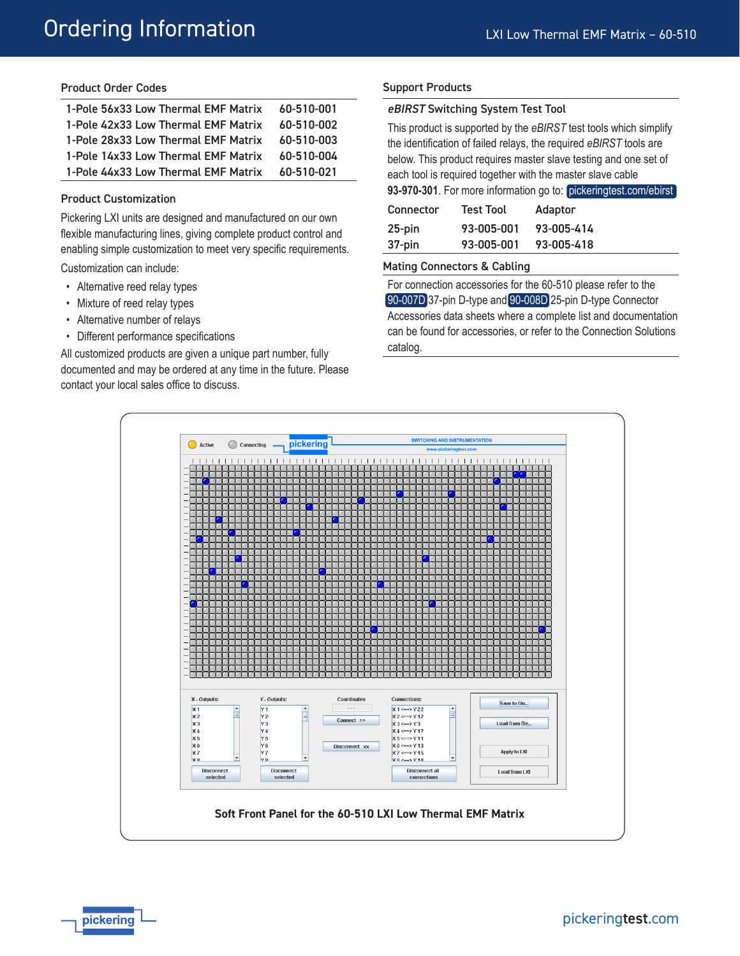#### Product Order Codes

| 1-Pole 56x33 Low Thermal EMF Matrix | 60-510-001 |
|-------------------------------------|------------|
| 1-Pole 42x33 Low Thermal EMF Matrix | 60-510-002 |
| 1-Pole 28x33 Low Thermal EMF Matrix | 60-510-003 |
| 1-Pole 14x33 Low Thermal EMF Matrix | 60-510-004 |
| 1-Pole 44x33 Low Thermal EMF Matrix | 60-510-021 |

#### Product Customization

Pickering LXI units are designed and manufactured on our own flexible manufacturing lines, giving complete product control and enabling simple customization to meet very specific requirements.

Customization can include:

- Alternative reed relay types
- Mixture of reed relay types
- Alternative number of relays
- Different performance specifications

All customized products are given a unique part number, fully documented and may be ordered at any time in the future. Please contact your local sales office to discuss.

#### Support Products

#### eBIRST Switching System Test Tool

This product is supported by the *eBIRST* test tools which simplify the identification of failed relays, the required *eBIRST* tools are below. This product requires master slave testing and one set of each tool is required together with the master slave cable **93-970-301**. For more information go to: [pickeringtest.com/ebirst](http://www.pickeringtest.com/ebirst)

| <b>The Manufacture of the community of the protonic protonic property</b> |                  |            |  |
|---------------------------------------------------------------------------|------------------|------------|--|
| Connector                                                                 | <b>Test Tool</b> | Adaptor    |  |
| $25$ -pin                                                                 | 93-005-001       | 93-005-414 |  |
| 37-pin                                                                    | 93-005-001       | 93-005-418 |  |

#### Mating Connectors & Cabling

For connection accessories for the 60-510 please refer to the [90-007D](http://www.pickeringtest.com/content/downloads/datasheets/90-007D.pdf) 37-pin D-type and [90-008D](http://www.pickeringtest.com/content/downloads/datasheets/90-008D.pdf) 25-pin D-type Connector Accessories data sheets where a complete list and documentation can be found for accessories, or refer to the Connection Solutions catalog.

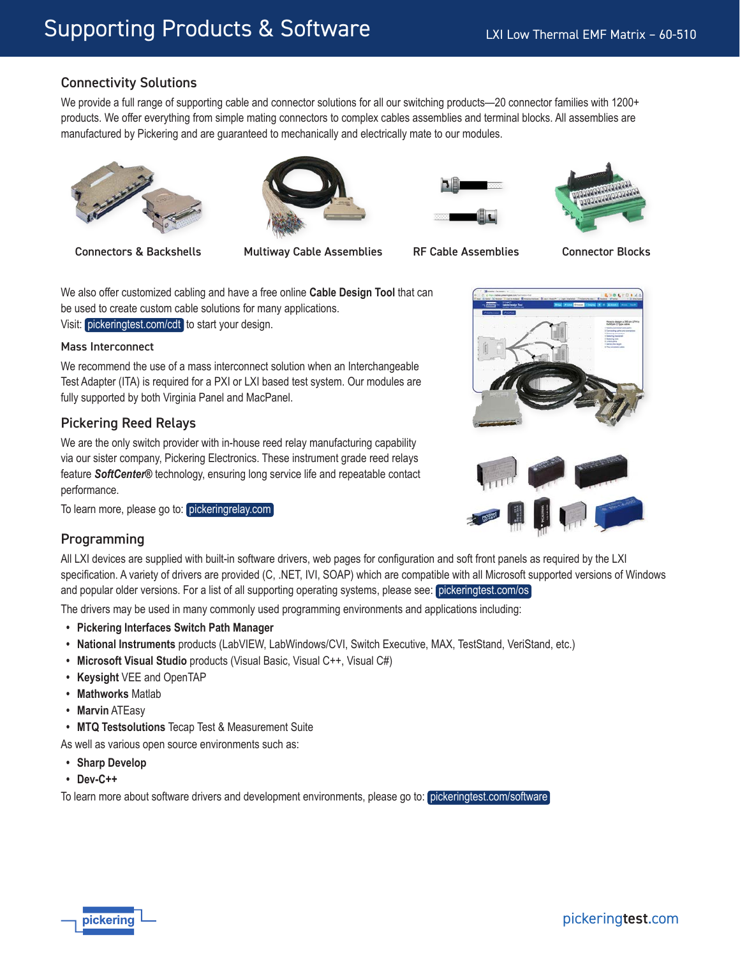# Connectivity Solutions

We provide a full range of supporting cable and connector solutions for all our switching products—20 connector families with 1200+ products. We offer everything from simple mating connectors to complex cables assemblies and terminal blocks. All assemblies are manufactured by Pickering and are guaranteed to mechanically and electrically mate to our modules.











We also offer customized cabling and have a free online **Cable Design Tool** that can be used to create custom cable solutions for many applications. Visit: [pickeringtest.com/cdt](http://www.pickeringtest.com/cdt) to start your design.

#### Mass Interconnect

We recommend the use of a mass interconnect solution when an Interchangeable Test Adapter (ITA) is required for a PXI or LXI based test system. Our modules are fully supported by both Virginia Panel and MacPanel.

# Pickering Reed Relays

We are the only switch provider with in-house reed relay manufacturing capability via our sister company, Pickering Electronics. These instrument grade reed relays feature *SoftCenter®* technology, ensuring long service life and repeatable contact performance.

To learn more, please go to: [pickeringrelay.com](http://www.pickeringrelay.com)

### Programming

All LXI devices are supplied with built-in software drivers, web pages for configuration and soft front panels as required by the LXI specification. A variety of drivers are provided (C, .NET, IVI, SOAP) which are compatible with all Microsoft supported versions of Windows and popular older versions. For a list of all supporting operating systems, please see: [pickeringtest.com/os](http://www.pickeringtest.com/os)

The drivers may be used in many commonly used programming environments and applications including:

- **• Pickering Interfaces Switch Path Manager**
- **• National Instruments** products (LabVIEW, LabWindows/CVI, Switch Executive, MAX, TestStand, VeriStand, etc.)
- **• Microsoft Visual Studio** products (Visual Basic, Visual C++, Visual C#)
- **• Keysight** VEE and OpenTAP
- **• Mathworks** Matlab
- **• Marvin** ATEasy
- **• MTQ Testsolutions** Tecap Test & Measurement Suite

As well as various open source environments such as:

- **• Sharp Develop**
- **• Dev-C++**

To learn more about software drivers and development environments, please go to: [pickeringtest.com/software](http://www.pickeringtest.com/software)